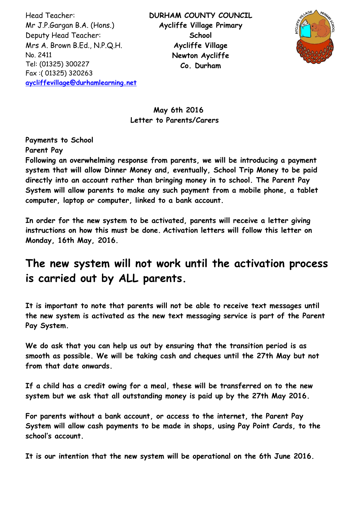Head Teacher: Mr J.P.Gargan B.A. (Hons.) Deputy Head Teacher: Mrs A. Brown B.Ed., N.P.Q.H. No. 2411 Tel: (01325) 300227 Fax :( 01325) 320263 **[aycliffevillage@durhamlearning.net](mailto:aycliffevillage@durhamlearning.net)** **DURHAM COUNTY COUNCIL Aycliffe Village Primary School Aycliffe Village Newton Aycliffe Co. Durham**



# **May 6th 2016 Letter to Parents/Carers**

**Payments to School**

**Parent Pay**

**Following an overwhelming response from parents, we will be introducing a payment system that will allow Dinner Money and, eventually, School Trip Money to be paid directly into an account rather than bringing money in to school. The Parent Pay System will allow parents to make any such payment from a mobile phone, a tablet computer, laptop or computer, linked to a bank account.**

**In order for the new system to be activated, parents will receive a letter giving instructions on how this must be done. Activation letters will follow this letter on Monday, 16th May, 2016.** 

# **The new system will not work until the activation process is carried out by ALL parents.**

**It is important to note that parents will not be able to receive text messages until the new system is activated as the new text messaging service is part of the Parent Pay System.**

**We do ask that you can help us out by ensuring that the transition period is as smooth as possible. We will be taking cash and cheques until the 27th May but not from that date onwards.**

**If a child has a credit owing for a meal, these will be transferred on to the new system but we ask that all outstanding money is paid up by the 27th May 2016.**

**For parents without a bank account, or access to the internet, the Parent Pay System will allow cash payments to be made in shops, using Pay Point Cards, to the school's account.**

**It is our intention that the new system will be operational on the 6th June 2016.**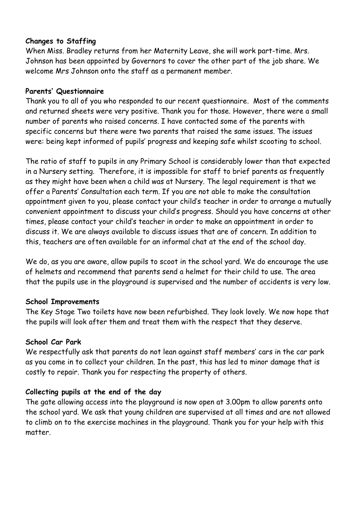## **Changes to Staffing**

When Miss. Bradley returns from her Maternity Leave, she will work part-time. Mrs. Johnson has been appointed by Governors to cover the other part of the job share. We welcome Mrs Johnson onto the staff as a permanent member.

### **Parents' Questionnaire**

Thank you to all of you who responded to our recent questionnaire. Most of the comments and returned sheets were very positive. Thank you for those. However, there were a small number of parents who raised concerns. I have contacted some of the parents with specific concerns but there were two parents that raised the same issues. The issues were: being kept informed of pupils' progress and keeping safe whilst scooting to school.

The ratio of staff to pupils in any Primary School is considerably lower than that expected in a Nursery setting. Therefore, it is impossible for staff to brief parents as frequently as they might have been when a child was at Nursery. The legal requirement is that we offer a Parents' Consultation each term. If you are not able to make the consultation appointment given to you, please contact your child's teacher in order to arrange a mutually convenient appointment to discuss your child's progress. Should you have concerns at other times, please contact your child's teacher in order to make an appointment in order to discuss it. We are always available to discuss issues that are of concern. In addition to this, teachers are often available for an informal chat at the end of the school day.

We do, as you are aware, allow pupils to scoot in the school yard. We do encourage the use of helmets and recommend that parents send a helmet for their child to use. The area that the pupils use in the playground is supervised and the number of accidents is very low.

#### **School Improvements**

The Key Stage Two toilets have now been refurbished. They look lovely. We now hope that the pupils will look after them and treat them with the respect that they deserve.

#### **School Car Park**

We respectfully ask that parents do not lean against staff members' cars in the car park as you come in to collect your children. In the past, this has led to minor damage that is costly to repair. Thank you for respecting the property of others.

## **Collecting pupils at the end of the day**

The gate allowing access into the playground is now open at 3.00pm to allow parents onto the school yard. We ask that young children are supervised at all times and are not allowed to climb on to the exercise machines in the playground. Thank you for your help with this matter.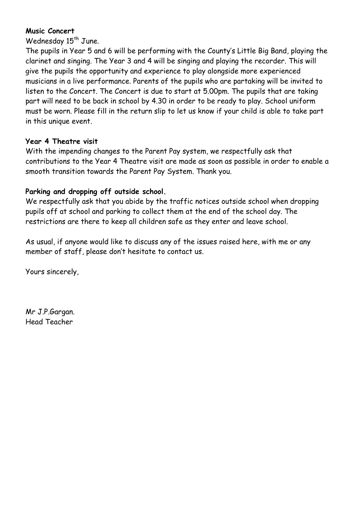## **Music Concert**

Wednesday 15<sup>th</sup> June.

The pupils in Year 5 and 6 will be performing with the County's Little Big Band, playing the clarinet and singing. The Year 3 and 4 will be singing and playing the recorder. This will give the pupils the opportunity and experience to play alongside more experienced musicians in a live performance. Parents of the pupils who are partaking will be invited to listen to the Concert. The Concert is due to start at 5.00pm. The pupils that are taking part will need to be back in school by 4.30 in order to be ready to play. School uniform must be worn. Please fill in the return slip to let us know if your child is able to take part in this unique event.

#### **Year 4 Theatre visit**

With the impending changes to the Parent Pay system, we respectfully ask that contributions to the Year 4 Theatre visit are made as soon as possible in order to enable a smooth transition towards the Parent Pay System. Thank you.

## **Parking and dropping off outside school.**

We respectfully ask that you abide by the traffic notices outside school when dropping pupils off at school and parking to collect them at the end of the school day. The restrictions are there to keep all children safe as they enter and leave school.

As usual, if anyone would like to discuss any of the issues raised here, with me or any member of staff, please don't hesitate to contact us.

Yours sincerely,

Mr J.P.Gargan. Head Teacher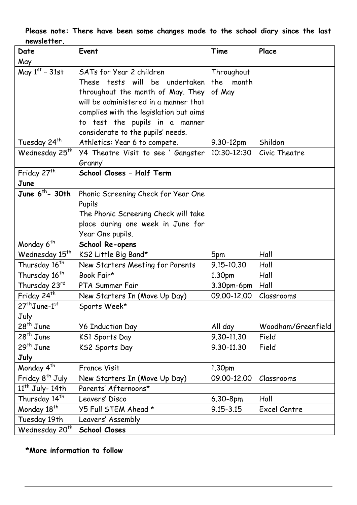## **Please note: There have been some changes made to the school diary since the last newsletter.**

| Date                        | Event                                  | Time          | Place              |
|-----------------------------|----------------------------------------|---------------|--------------------|
| May                         |                                        |               |                    |
| May $1st$ - 31st            | SATs for Year 2 children               | Throughout    |                    |
|                             | These tests will be undertaken         | the<br>month  |                    |
|                             | throughout the month of May. They      | of May        |                    |
|                             | will be administered in a manner that  |               |                    |
|                             | complies with the legislation but aims |               |                    |
|                             | to test the pupils in a manner         |               |                    |
|                             | considerate to the pupils' needs.      |               |                    |
| Tuesday 24 <sup>th</sup>    | Athletics: Year 6 to compete.          | 9.30-12pm     | Shildon            |
| Wednesday 25 <sup>th</sup>  | Y4 Theatre Visit to see ' Gangster     | 10:30-12:30   | Civic Theatre      |
|                             | Granny'                                |               |                    |
| Friday 27 <sup>th</sup>     | School Closes - Half Term              |               |                    |
| June                        |                                        |               |                    |
| June $6^{th}$ - 30th        | Phonic Screening Check for Year One    |               |                    |
|                             | Pupils                                 |               |                    |
|                             | The Phonic Screening Check will take   |               |                    |
|                             | place during one week in June for      |               |                    |
|                             | Year One pupils.                       |               |                    |
| Monday 6 <sup>th</sup>      | School Re-opens                        |               |                    |
| Wednesday 15th              | KS2 Little Big Band*                   | 5pm           | Hall               |
| Thursday 16 <sup>th</sup>   | New Starters Meeting for Parents       | 9.15-10.30    | Hall               |
| Thursday 16 <sup>th</sup>   | Book Fair*                             | 1.30pm        | Hall               |
| Thursday 23rd               | PTA Summer Fair                        | 3.30pm-6pm    | Hall               |
| Friday 24 <sup>th</sup>     | New Starters In (Move Up Day)          | 09.00-12.00   | Classrooms         |
| $27th$ June-1st             | Sports Week*                           |               |                    |
| July                        |                                        |               |                    |
| $28th$ June                 | <b>Y6 Induction Day</b>                | All day       | Woodham/Greenfield |
| $28th$ June                 | KS1 Sports Day                         | 9.30-11.30    | Field              |
| $29th$ June                 | KS2 Sports Day                         | 9.30-11.30    | Field              |
| July                        |                                        |               |                    |
| Monday 4 <sup>th</sup>      | <b>France Visit</b>                    | 1.30pm        |                    |
| Friday 8 <sup>th</sup> July | New Starters In (Move Up Day)          | 09.00-12.00   | Classrooms         |
| $11th$ July- 14th           | Parents' Afternoons*                   |               |                    |
| Thursday 14 <sup>th</sup>   | Leavers' Disco                         | $6.30 - 8pm$  | Hall               |
| Monday 18 <sup>th</sup>     | Y5 Full STEM Ahead *                   | $9.15 - 3.15$ | Excel Centre       |
| Tuesday 19th                | Leavers' Assembly                      |               |                    |
| Wednesday 20 <sup>th</sup>  | School Closes                          |               |                    |

# **\*More information to follow**